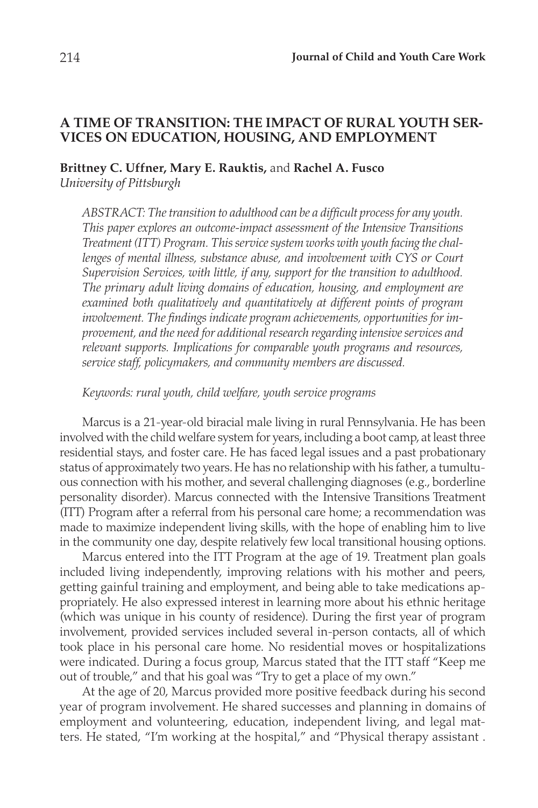# **A TIME OF TRANSITION: THE IMPACT OF RURAL YOUTH SER-VICES ON EDUCATION, HOUSING, AND EMPLOYMENT**

# **Brittney C. Uffner, Mary E. Rauktis,** and **Rachel A. Fusco** *University of Pittsburgh*

*ABSTRACT: The transition to adulthood can be a difficult process for any youth. This paper explores an outcome-impact assessment of the Intensive Transitions Treatment (ITT) Program. This service system works with youth facing the chal*lenges of mental illness, substance abuse, and involvement with CYS or Court *Supervision Services, with little, if any, support for the transition to adulthood. The primary adult living domains of education, housing, and employment are examined both qualitatively and quantitatively at different points of program involvement. The findings indicate program achievements, opportunities for improvement, and the need for additional research regarding intensive services and relevant supports. Implications for comparable youth programs and resources, service staff, policymakers, and community members are discussed.*

*Keywords: rural youth, child welfare, youth service programs*

Marcus is a 21-year-old biracial male living in rural Pennsylvania. He has been involved with the child welfare system for years, including a boot camp, at least three residential stays, and foster care. He has faced legal issues and a past probationary status of approximately two years. He has no relationship with his father, a tumultuous connection with his mother, and several challenging diagnoses (e.g., borderline personality disorder). Marcus connected with the Intensive Transitions Treatment (ITT) Program after a referral from his personal care home; a recommendation was made to maximize independent living skills, with the hope of enabling him to live in the community one day, despite relatively few local transitional housing options.

Marcus entered into the ITT Program at the age of 19. Treatment plan goals included living independently, improving relations with his mother and peers, getting gainful training and employment, and being able to take medications appropriately. He also expressed interest in learning more about his ethnic heritage (which was unique in his county of residence). During the first year of program involvement, provided services included several in-person contacts, all of which took place in his personal care home. No residential moves or hospitalizations were indicated. During a focus group, Marcus stated that the ITT staff "Keep me out of trouble," and that his goal was "Try to get a place of my own."

At the age of 20, Marcus provided more positive feedback during his second year of program involvement. He shared successes and planning in domains of employment and volunteering, education, independent living, and legal matters. He stated, "I'm working at the hospital," and "Physical therapy assistant .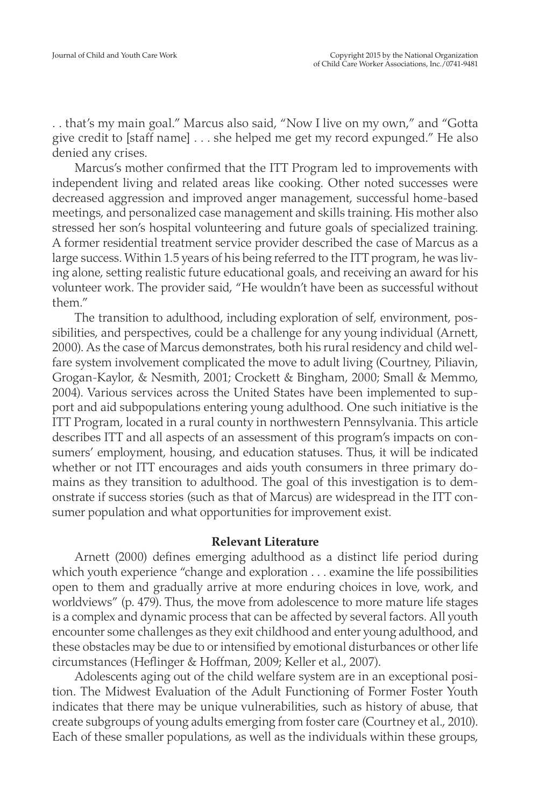. . that's my main goal." Marcus also said, "Now I live on my own," and "Gotta give credit to [staff name] . . . she helped me get my record expunged." He also denied any crises.

Marcus's mother confirmed that the ITT Program led to improvements with independent living and related areas like cooking. Other noted successes were decreased aggression and improved anger management, successful home-based meetings, and personalized case management and skills training. His mother also stressed her son's hospital volunteering and future goals of specialized training. A former residential treatment service provider described the case of Marcus as a large success. Within 1.5 years of his being referred to the ITT program, he was living alone, setting realistic future educational goals, and receiving an award for his volunteer work. The provider said, "He wouldn't have been as successful without them."

The transition to adulthood, including exploration of self, environment, possibilities, and perspectives, could be a challenge for any young individual (Arnett, 2000). As the case of Marcus demonstrates, both his rural residency and child welfare system involvement complicated the move to adult living (Courtney, Piliavin, Grogan-Kaylor, & Nesmith, 2001; Crockett & Bingham, 2000; Small & Memmo, 2004). Various services across the United States have been implemented to support and aid subpopulations entering young adulthood. One such initiative is the ITT Program, located in a rural county in northwestern Pennsylvania. This article describes ITT and all aspects of an assessment of this program's impacts on consumers' employment, housing, and education statuses. Thus, it will be indicated whether or not ITT encourages and aids youth consumers in three primary domains as they transition to adulthood. The goal of this investigation is to demonstrate if success stories (such as that of Marcus) are widespread in the ITT consumer population and what opportunities for improvement exist.

## **Relevant Literature**

Arnett (2000) defines emerging adulthood as a distinct life period during which youth experience "change and exploration . . . examine the life possibilities open to them and gradually arrive at more enduring choices in love, work, and worldviews" (p. 479). Thus, the move from adolescence to more mature life stages is a complex and dynamic process that can be affected by several factors. All youth encounter some challenges as they exit childhood and enter young adulthood, and these obstacles may be due to or intensified by emotional disturbances or other life circumstances (Heflinger & Hoffman, 2009; Keller et al., 2007).

Adolescents aging out of the child welfare system are in an exceptional position. The Midwest Evaluation of the Adult Functioning of Former Foster Youth indicates that there may be unique vulnerabilities, such as history of abuse, that create subgroups of young adults emerging from foster care (Courtney et al., 2010). Each of these smaller populations, as well as the individuals within these groups,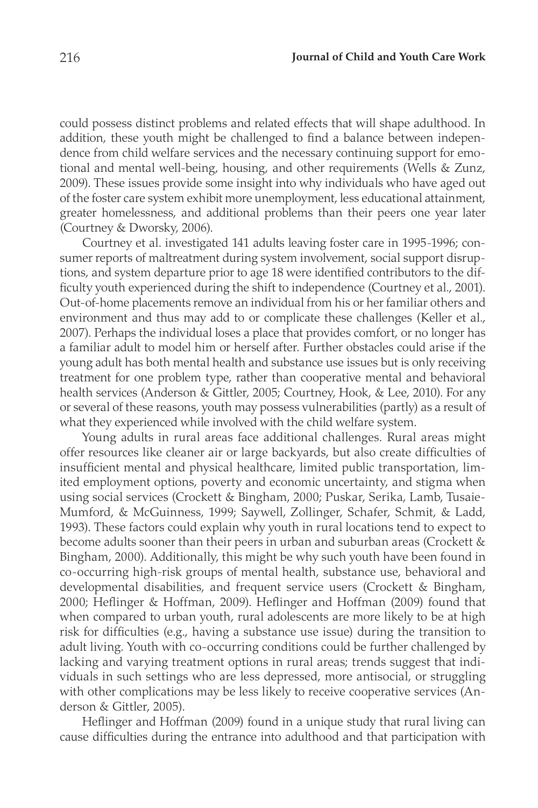could possess distinct problems and related effects that will shape adulthood. In addition, these youth might be challenged to find a balance between independence from child welfare services and the necessary continuing support for emotional and mental well-being, housing, and other requirements (Wells & Zunz, 2009). These issues provide some insight into why individuals who have aged out of the foster care system exhibit more unemployment, less educational attainment, greater homelessness, and additional problems than their peers one year later (Courtney & Dworsky, 2006).

Courtney et al. investigated 141 adults leaving foster care in 1995-1996; consumer reports of maltreatment during system involvement, social support disruptions, and system departure prior to age 18 were identified contributors to the difficulty youth experienced during the shift to independence (Courtney et al., 2001). Out-of-home placements remove an individual from his or her familiar others and environment and thus may add to or complicate these challenges (Keller et al., 2007). Perhaps the individual loses a place that provides comfort, or no longer has a familiar adult to model him or herself after. Further obstacles could arise if the young adult has both mental health and substance use issues but is only receiving treatment for one problem type, rather than cooperative mental and behavioral health services (Anderson & Gittler, 2005; Courtney, Hook, & Lee, 2010). For any or several of these reasons, youth may possess vulnerabilities (partly) as a result of what they experienced while involved with the child welfare system.

Young adults in rural areas face additional challenges. Rural areas might offer resources like cleaner air or large backyards, but also create difficulties of insufficient mental and physical healthcare, limited public transportation, limited employment options, poverty and economic uncertainty, and stigma when using social services (Crockett & Bingham, 2000; Puskar, Serika, Lamb, Tusaie-Mumford, & McGuinness, 1999; Saywell, Zollinger, Schafer, Schmit, & Ladd, 1993). These factors could explain why youth in rural locations tend to expect to become adults sooner than their peers in urban and suburban areas (Crockett & Bingham, 2000). Additionally, this might be why such youth have been found in co-occurring high-risk groups of mental health, substance use, behavioral and developmental disabilities, and frequent service users (Crockett & Bingham, 2000; Heflinger & Hoffman, 2009). Heflinger and Hoffman (2009) found that when compared to urban youth, rural adolescents are more likely to be at high risk for difficulties (e.g., having a substance use issue) during the transition to adult living. Youth with co-occurring conditions could be further challenged by lacking and varying treatment options in rural areas; trends suggest that individuals in such settings who are less depressed, more antisocial, or struggling with other complications may be less likely to receive cooperative services (Anderson & Gittler, 2005).

Heflinger and Hoffman (2009) found in a unique study that rural living can cause difficulties during the entrance into adulthood and that participation with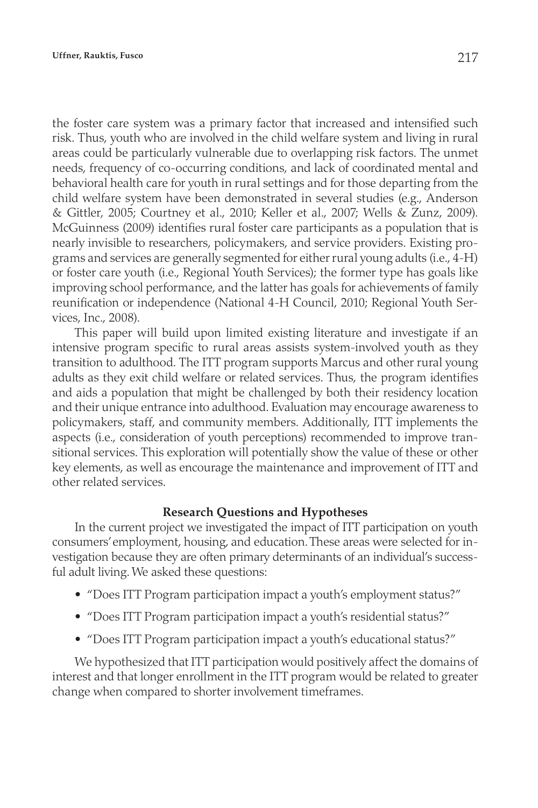the foster care system was a primary factor that increased and intensified such risk. Thus, youth who are involved in the child welfare system and living in rural areas could be particularly vulnerable due to overlapping risk factors. The unmet needs, frequency of co-occurring conditions, and lack of coordinated mental and behavioral health care for youth in rural settings and for those departing from the child welfare system have been demonstrated in several studies (e.g., Anderson & Gittler, 2005; Courtney et al., 2010; Keller et al., 2007; Wells & Zunz, 2009). McGuinness (2009) identifies rural foster care participants as a population that is nearly invisible to researchers, policymakers, and service providers. Existing programs and services are generally segmented for either rural young adults (i.e., 4-H) or foster care youth (i.e., Regional Youth Services); the former type has goals like improving school performance, and the latter has goals for achievements of family reunification or independence (National 4-H Council, 2010; Regional Youth Services, Inc., 2008).

This paper will build upon limited existing literature and investigate if an intensive program specific to rural areas assists system-involved youth as they transition to adulthood. The ITT program supports Marcus and other rural young adults as they exit child welfare or related services. Thus, the program identifies and aids a population that might be challenged by both their residency location and their unique entrance into adulthood. Evaluation may encourage awareness to policymakers, staff, and community members. Additionally, ITT implements the aspects (i.e., consideration of youth perceptions) recommended to improve transitional services. This exploration will potentially show the value of these or other key elements, as well as encourage the maintenance and improvement of ITT and other related services.

## **Research Questions and Hypotheses**

In the current project we investigated the impact of ITT participation on youth consumers' employment, housing, and education. These areas were selected for investigation because they are often primary determinants of an individual's successful adult living. We asked these questions:

- "Does ITT Program participation impact a youth's employment status?"
- "Does ITT Program participation impact a youth's residential status?"
- "Does ITT Program participation impact a youth's educational status?"

We hypothesized that ITT participation would positively affect the domains of interest and that longer enrollment in the ITT program would be related to greater change when compared to shorter involvement timeframes.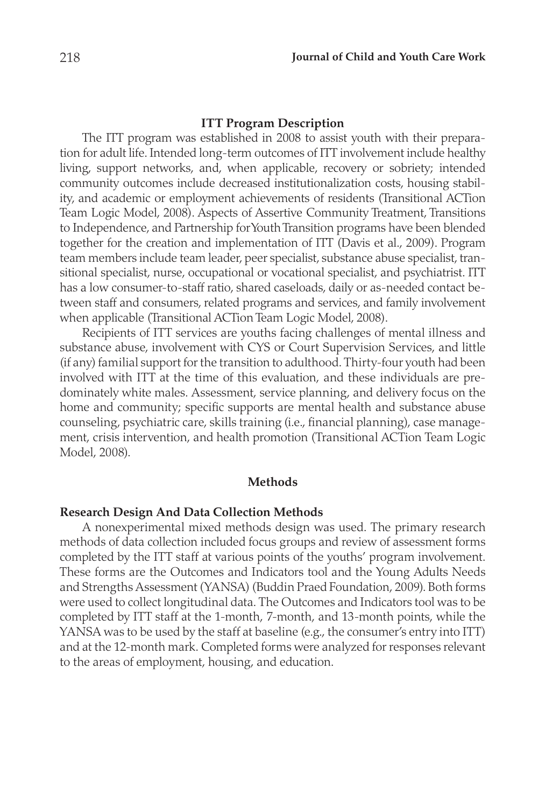#### **ITT Program Description**

The ITT program was established in 2008 to assist youth with their preparation for adult life. Intended long-term outcomes of ITT involvement include healthy living, support networks, and, when applicable, recovery or sobriety; intended community outcomes include decreased institutionalization costs, housing stability, and academic or employment achievements of residents (Transitional ACTion Team Logic Model, 2008). Aspects of Assertive Community Treatment, Transitions to Independence, and Partnership for Youth Transition programs have been blended together for the creation and implementation of ITT (Davis et al., 2009). Program team members include team leader, peer specialist, substance abuse specialist, transitional specialist, nurse, occupational or vocational specialist, and psychiatrist. ITT has a low consumer-to-staff ratio, shared caseloads, daily or as-needed contact between staff and consumers, related programs and services, and family involvement when applicable (Transitional ACTion Team Logic Model, 2008).

Recipients of ITT services are youths facing challenges of mental illness and substance abuse, involvement with CYS or Court Supervision Services, and little (if any) familial support for the transition to adulthood. Thirty-four youth had been involved with ITT at the time of this evaluation, and these individuals are predominately white males. Assessment, service planning, and delivery focus on the home and community; specific supports are mental health and substance abuse counseling, psychiatric care, skills training (i.e., financial planning), case management, crisis intervention, and health promotion (Transitional ACTion Team Logic Model, 2008).

#### **Methods**

# **Research Design And Data Collection Methods**

A nonexperimental mixed methods design was used. The primary research methods of data collection included focus groups and review of assessment forms completed by the ITT staff at various points of the youths' program involvement. These forms are the Outcomes and Indicators tool and the Young Adults Needs and Strengths Assessment (YANSA) (Buddin Praed Foundation, 2009). Both forms were used to collect longitudinal data. The Outcomes and Indicators tool was to be completed by ITT staff at the 1-month, 7-month, and 13-month points, while the YANSA was to be used by the staff at baseline (e.g., the consumer's entry into ITT) and at the 12-month mark. Completed forms were analyzed for responses relevant to the areas of employment, housing, and education.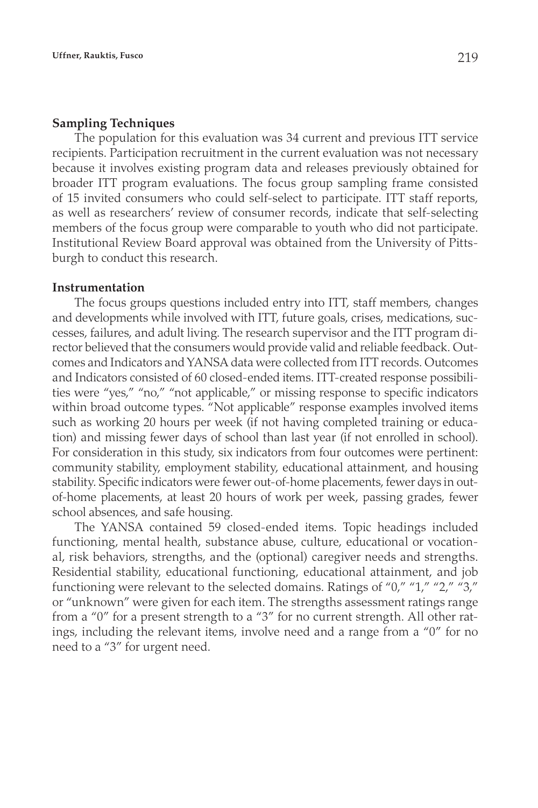#### **Sampling Techniques**

The population for this evaluation was 34 current and previous ITT service recipients. Participation recruitment in the current evaluation was not necessary because it involves existing program data and releases previously obtained for broader ITT program evaluations. The focus group sampling frame consisted of 15 invited consumers who could self-select to participate. ITT staff reports, as well as researchers' review of consumer records, indicate that self-selecting members of the focus group were comparable to youth who did not participate. Institutional Review Board approval was obtained from the University of Pittsburgh to conduct this research.

#### **Instrumentation**

The focus groups questions included entry into ITT, staff members, changes and developments while involved with ITT, future goals, crises, medications, successes, failures, and adult living. The research supervisor and the ITT program director believed that the consumers would provide valid and reliable feedback. Outcomes and Indicators and YANSA data were collected from ITT records. Outcomes and Indicators consisted of 60 closed-ended items. ITT-created response possibilities were "yes," "no," "not applicable," or missing response to specific indicators within broad outcome types. "Not applicable" response examples involved items such as working 20 hours per week (if not having completed training or education) and missing fewer days of school than last year (if not enrolled in school). For consideration in this study, six indicators from four outcomes were pertinent: community stability, employment stability, educational attainment, and housing stability. Specific indicators were fewer out-of-home placements, fewer days in outof-home placements, at least 20 hours of work per week, passing grades, fewer school absences, and safe housing.

The YANSA contained 59 closed-ended items. Topic headings included functioning, mental health, substance abuse, culture, educational or vocational, risk behaviors, strengths, and the (optional) caregiver needs and strengths. Residential stability, educational functioning, educational attainment, and job functioning were relevant to the selected domains. Ratings of "0," "1," "2," "3," or "unknown" were given for each item. The strengths assessment ratings range from a "0" for a present strength to a "3" for no current strength. All other ratings, including the relevant items, involve need and a range from a "0" for no need to a "3" for urgent need.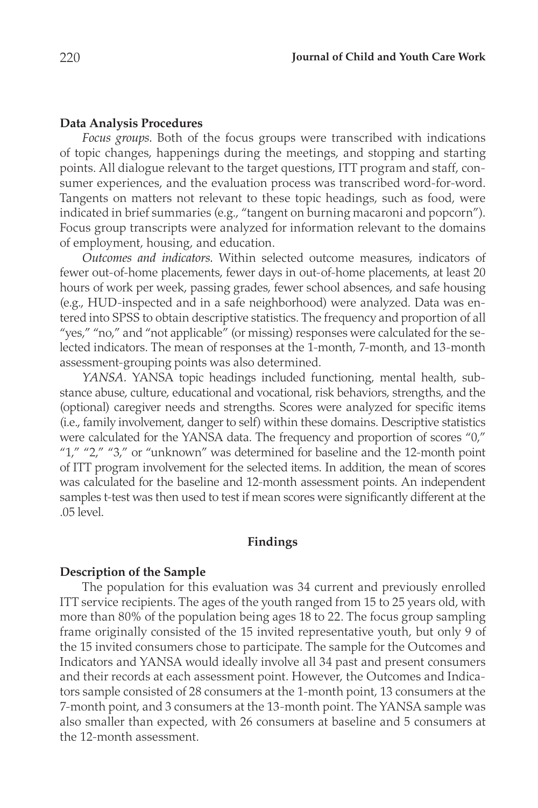#### **Data Analysis Procedures**

*Focus groups.* Both of the focus groups were transcribed with indications of topic changes, happenings during the meetings, and stopping and starting points. All dialogue relevant to the target questions, ITT program and staff, consumer experiences, and the evaluation process was transcribed word-for-word. Tangents on matters not relevant to these topic headings, such as food, were indicated in brief summaries (e.g., "tangent on burning macaroni and popcorn"). Focus group transcripts were analyzed for information relevant to the domains of employment, housing, and education.

*Outcomes and indicators.* Within selected outcome measures, indicators of fewer out-of-home placements, fewer days in out-of-home placements, at least 20 hours of work per week, passing grades, fewer school absences, and safe housing (e.g., HUD-inspected and in a safe neighborhood) were analyzed. Data was entered into SPSS to obtain descriptive statistics. The frequency and proportion of all "yes," "no," and "not applicable" (or missing) responses were calculated for the selected indicators. The mean of responses at the 1-month, 7-month, and 13-month assessment-grouping points was also determined.

*YANSA.* YANSA topic headings included functioning, mental health, substance abuse, culture, educational and vocational, risk behaviors, strengths, and the (optional) caregiver needs and strengths. Scores were analyzed for specific items (i.e., family involvement, danger to self) within these domains. Descriptive statistics were calculated for the YANSA data. The frequency and proportion of scores "0," "1," "2," "3," or "unknown" was determined for baseline and the 12-month point of ITT program involvement for the selected items. In addition, the mean of scores was calculated for the baseline and 12-month assessment points. An independent samples t-test was then used to test if mean scores were significantly different at the .05 level.

## **Findings**

## **Description of the Sample**

The population for this evaluation was 34 current and previously enrolled ITT service recipients. The ages of the youth ranged from 15 to 25 years old, with more than 80% of the population being ages 18 to 22. The focus group sampling frame originally consisted of the 15 invited representative youth, but only 9 of the 15 invited consumers chose to participate. The sample for the Outcomes and Indicators and YANSA would ideally involve all 34 past and present consumers and their records at each assessment point. However, the Outcomes and Indicators sample consisted of 28 consumers at the 1-month point, 13 consumers at the 7-month point, and 3 consumers at the 13-month point. The YANSA sample was also smaller than expected, with 26 consumers at baseline and 5 consumers at the 12-month assessment.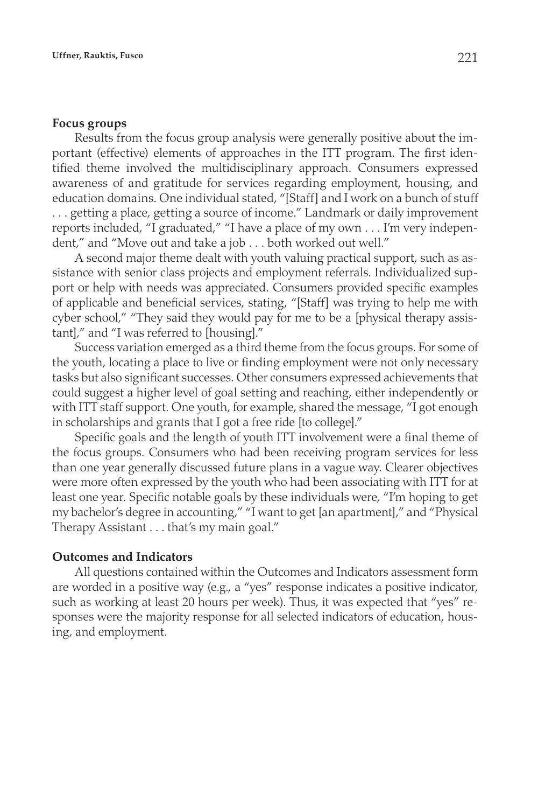#### **Focus groups**

Results from the focus group analysis were generally positive about the important (effective) elements of approaches in the ITT program. The first identified theme involved the multidisciplinary approach. Consumers expressed awareness of and gratitude for services regarding employment, housing, and education domains. One individual stated, "[Staff] and I work on a bunch of stuff . . . getting a place, getting a source of income." Landmark or daily improvement reports included, "I graduated," "I have a place of my own . . . I'm very independent," and "Move out and take a job . . . both worked out well."

A second major theme dealt with youth valuing practical support, such as assistance with senior class projects and employment referrals. Individualized support or help with needs was appreciated. Consumers provided specific examples of applicable and beneficial services, stating, "[Staff] was trying to help me with cyber school," "They said they would pay for me to be a [physical therapy assistant]," and "I was referred to [housing]."

Success variation emerged as a third theme from the focus groups. For some of the youth, locating a place to live or finding employment were not only necessary tasks but also significant successes. Other consumers expressed achievements that could suggest a higher level of goal setting and reaching, either independently or with ITT staff support. One youth, for example, shared the message, "I got enough in scholarships and grants that I got a free ride [to college]."

Specific goals and the length of youth ITT involvement were a final theme of the focus groups. Consumers who had been receiving program services for less than one year generally discussed future plans in a vague way. Clearer objectives were more often expressed by the youth who had been associating with ITT for at least one year. Specific notable goals by these individuals were, "I'm hoping to get my bachelor's degree in accounting," "I want to get [an apartment]," and "Physical Therapy Assistant . . . that's my main goal."

## **Outcomes and Indicators**

All questions contained within the Outcomes and Indicators assessment form are worded in a positive way (e.g., a "yes" response indicates a positive indicator, such as working at least 20 hours per week). Thus, it was expected that "yes" responses were the majority response for all selected indicators of education, housing, and employment.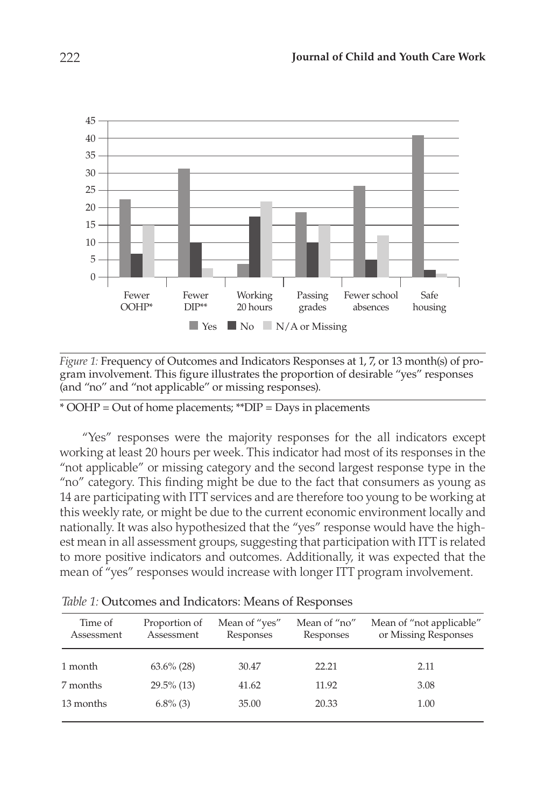

*Figure 1:* Frequency of Outcomes and Indicators Responses at 1, 7, or 13 month(s) of program involvement. This figure illustrates the proportion of desirable "yes" responses (and "no" and "not applicable" or missing responses).

\* OOHP = Out of home placements; \*\*DIP = Days in placements

"Yes" responses were the majority responses for the all indicators except working at least 20 hours per week. This indicator had most of its responses in the "not applicable" or missing category and the second largest response type in the "no" category. This finding might be due to the fact that consumers as young as 14 are participating with ITT services and are therefore too young to be working at this weekly rate, or might be due to the current economic environment locally and nationally. It was also hypothesized that the "yes" response would have the highest mean in all assessment groups, suggesting that participation with ITT is related to more positive indicators and outcomes. Additionally, it was expected that the mean of "yes" responses would increase with longer ITT program involvement.

| Time of<br>Assessment | Proportion of<br>Assessment | Mean of "yes"<br>Responses | Mean of "no"<br>Responses | Mean of "not applicable"<br>or Missing Responses |
|-----------------------|-----------------------------|----------------------------|---------------------------|--------------------------------------------------|
| 1 month               | $63.6\%$ (28)               | 30.47                      | 22.21                     | 2.11                                             |
| 7 months              | $29.5\%$ (13)               | 41.62                      | 11.92                     | 3.08                                             |
| 13 months             | $6.8\%$ (3)                 | 35.00                      | 20.33                     | 1.00                                             |

*Table 1:* Outcomes and Indicators: Means of Responses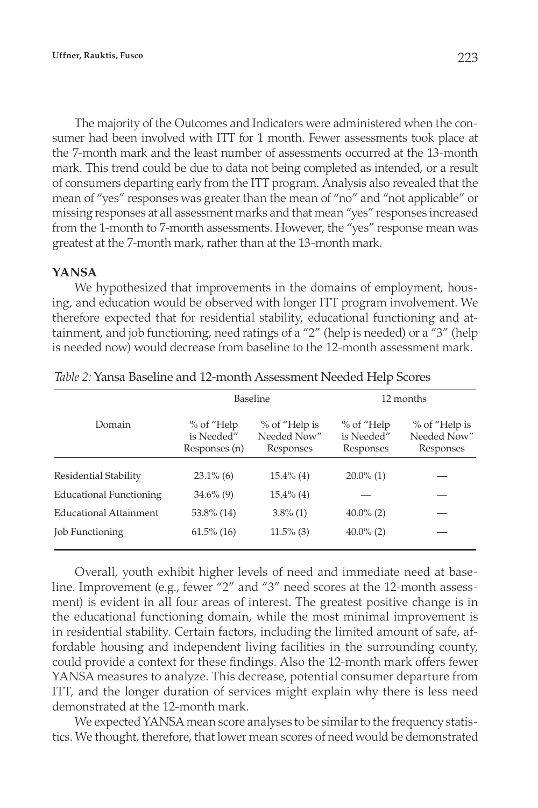The majority of the Outcomes and Indicators were administered when the consumer had been involved with ITT for 1 month. Fewer assessments took place at the 7-month mark and the least number of assessments occurred at the 13-month mark. This trend could be due to data not being completed as intended, or a result of consumers departing early from the ITT program. Analysis also revealed that the mean of "yes" responses was greater than the mean of "no" and "not applicable" or missing responses at all assessment marks and that mean "yes" responses increased from the 1-month to 7-month assessments. However, the "yes" response mean was greatest at the 7-month mark, rather than at the 13-month mark.

## **YANSA**

We hypothesized that improvements in the domains of employment, housing, and education would be observed with longer ITT program involvement. We therefore expected that for residential stability, educational functioning and attainment, and job functioning, need ratings of a "2" (help is needed) or a "3" (help is needed now) would decrease from baseline to the 12-month assessment mark.

|                                | Baseline                                    |                                            | 12 months                              |                                            |
|--------------------------------|---------------------------------------------|--------------------------------------------|----------------------------------------|--------------------------------------------|
| Domain                         | $%$ of "Help<br>is Needed"<br>Responses (n) | % of "Help is"<br>Needed Now"<br>Responses | % of "Help"<br>is Needed"<br>Responses | % of "Help is"<br>Needed Now"<br>Responses |
| Residential Stability          | $23.1\%$ (6)                                | $15.4\%$ (4)                               | $20.0\%$ (1)                           |                                            |
| <b>Educational Functioning</b> | $34.6\%$ (9)                                | $15.4\%$ (4)                               |                                        |                                            |
| <b>Educational Attainment</b>  | 53.8% (14)                                  | $3.8\%$ (1)                                | $40.0\%$ (2)                           |                                            |
| <b>Job Functioning</b>         | $61.5\%$ (16)                               | $11.5\%$ (3)                               | $40.0\%$ (2)                           |                                            |

*Table 2:* Yansa Baseline and 12-month Assessment Needed Help Scores

Overall, youth exhibit higher levels of need and immediate need at baseline. Improvement (e.g., fewer "2" and "3" need scores at the 12-month assessment) is evident in all four areas of interest. The greatest positive change is in the educational functioning domain, while the most minimal improvement is in residential stability. Certain factors, including the limited amount of safe, affordable housing and independent living facilities in the surrounding county, could provide a context for these findings. Also the 12-month mark offers fewer YANSA measures to analyze. This decrease, potential consumer departure from ITT, and the longer duration of services might explain why there is less need demonstrated at the 12-month mark.

We expected YANSA mean score analyses to be similar to the frequency statistics. We thought, therefore, that lower mean scores of need would be demonstrated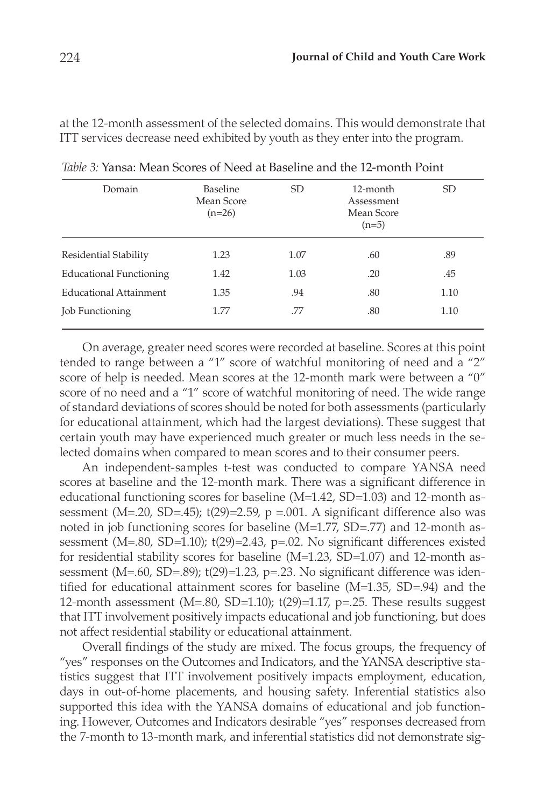at the 12-month assessment of the selected domains. This would demonstrate that ITT services decrease need exhibited by youth as they enter into the program.

| Domain                         | Baseline<br>Mean Score<br>$(n=26)$ | SD.  | 12-month<br>Assessment<br>Mean Score<br>$(n=5)$ | <sub>SD</sub> |
|--------------------------------|------------------------------------|------|-------------------------------------------------|---------------|
| Residential Stability          | 1.23                               | 1.07 | .60                                             | .89           |
| <b>Educational Functioning</b> | 1.42                               | 1.03 | .20                                             | .45           |
| Educational Attainment         | 1.35                               | .94  | .80                                             | 1.10          |
| <b>Job Functioning</b>         | 1.77                               | .77  | .80                                             | 1.10          |

*Table 3:* Yansa: Mean Scores of Need at Baseline and the 12-month Point

On average, greater need scores were recorded at baseline. Scores at this point tended to range between a "1" score of watchful monitoring of need and a "2" score of help is needed. Mean scores at the 12-month mark were between a "0" score of no need and a "1" score of watchful monitoring of need. The wide range of standard deviations of scores should be noted for both assessments (particularly for educational attainment, which had the largest deviations). These suggest that certain youth may have experienced much greater or much less needs in the selected domains when compared to mean scores and to their consumer peers.

An independent-samples t-test was conducted to compare YANSA need scores at baseline and the 12-month mark. There was a significant difference in educational functioning scores for baseline (M=1.42, SD=1.03) and 12-month assessment (M=.20, SD=.45);  $t(29)=2.59$ , p =.001. A significant difference also was noted in job functioning scores for baseline (M=1.77, SD=.77) and 12-month assessment (M=.80, SD=1.10); t(29)=2.43, p=.02. No significant differences existed for residential stability scores for baseline (M=1.23, SD=1.07) and 12-month assessment (M=.60, SD=.89); t(29)=1.23, p=.23. No significant difference was identified for educational attainment scores for baseline (M=1.35, SD=.94) and the 12-month assessment ( $M=.80$ , SD=1.10); t(29)=1.17, p=.25. These results suggest that ITT involvement positively impacts educational and job functioning, but does not affect residential stability or educational attainment.

Overall findings of the study are mixed. The focus groups, the frequency of "yes" responses on the Outcomes and Indicators, and the YANSA descriptive statistics suggest that ITT involvement positively impacts employment, education, days in out-of-home placements, and housing safety. Inferential statistics also supported this idea with the YANSA domains of educational and job functioning. However, Outcomes and Indicators desirable "yes" responses decreased from the 7-month to 13-month mark, and inferential statistics did not demonstrate sig-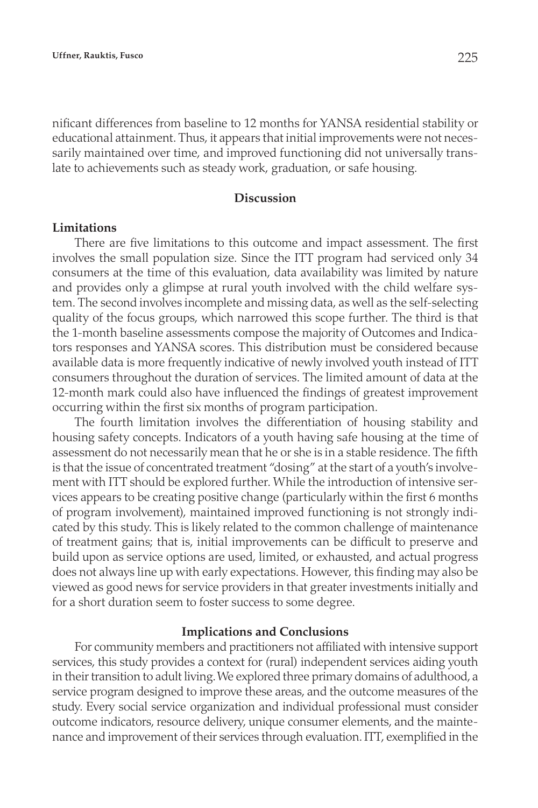nificant differences from baseline to 12 months for YANSA residential stability or educational attainment. Thus, it appears that initial improvements were not necessarily maintained over time, and improved functioning did not universally translate to achievements such as steady work, graduation, or safe housing.

## **Discussion**

#### **Limitations**

There are five limitations to this outcome and impact assessment. The first involves the small population size. Since the ITT program had serviced only 34 consumers at the time of this evaluation, data availability was limited by nature and provides only a glimpse at rural youth involved with the child welfare system. The second involves incomplete and missing data, as well as the self-selecting quality of the focus groups, which narrowed this scope further. The third is that the 1-month baseline assessments compose the majority of Outcomes and Indicators responses and YANSA scores. This distribution must be considered because available data is more frequently indicative of newly involved youth instead of ITT consumers throughout the duration of services. The limited amount of data at the 12-month mark could also have influenced the findings of greatest improvement occurring within the first six months of program participation.

The fourth limitation involves the differentiation of housing stability and housing safety concepts. Indicators of a youth having safe housing at the time of assessment do not necessarily mean that he or she is in a stable residence. The fifth is that the issue of concentrated treatment "dosing" at the start of a youth's involvement with ITT should be explored further. While the introduction of intensive services appears to be creating positive change (particularly within the first 6 months of program involvement), maintained improved functioning is not strongly indicated by this study. This is likely related to the common challenge of maintenance of treatment gains; that is, initial improvements can be difficult to preserve and build upon as service options are used, limited, or exhausted, and actual progress does not always line up with early expectations. However, this finding may also be viewed as good news for service providers in that greater investments initially and for a short duration seem to foster success to some degree.

#### **Implications and Conclusions**

For community members and practitioners not affiliated with intensive support services, this study provides a context for (rural) independent services aiding youth in their transition to adult living. We explored three primary domains of adulthood, a service program designed to improve these areas, and the outcome measures of the study. Every social service organization and individual professional must consider outcome indicators, resource delivery, unique consumer elements, and the maintenance and improvement of their services through evaluation. ITT, exemplified in the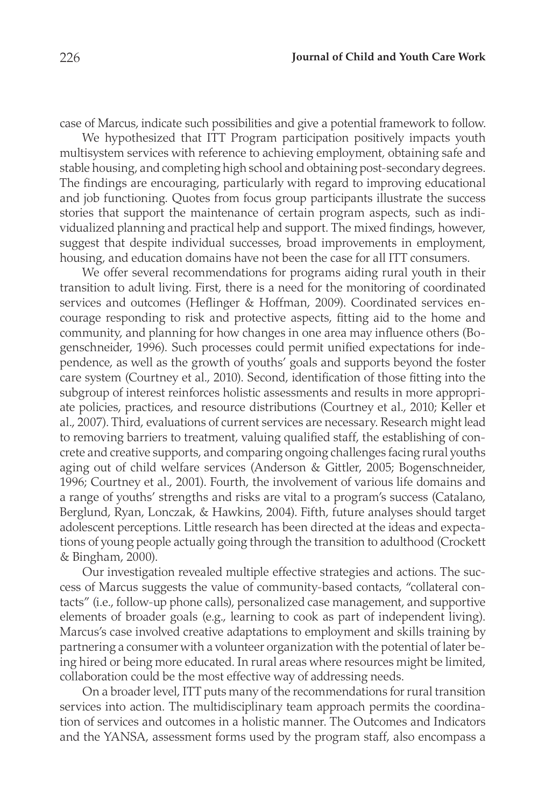case of Marcus, indicate such possibilities and give a potential framework to follow.

We hypothesized that ITT Program participation positively impacts youth multisystem services with reference to achieving employment, obtaining safe and stable housing, and completing high school and obtaining post-secondary degrees. The findings are encouraging, particularly with regard to improving educational and job functioning. Quotes from focus group participants illustrate the success stories that support the maintenance of certain program aspects, such as individualized planning and practical help and support. The mixed findings, however, suggest that despite individual successes, broad improvements in employment, housing, and education domains have not been the case for all ITT consumers.

We offer several recommendations for programs aiding rural youth in their transition to adult living. First, there is a need for the monitoring of coordinated services and outcomes (Heflinger & Hoffman, 2009). Coordinated services encourage responding to risk and protective aspects, fitting aid to the home and community, and planning for how changes in one area may influence others (Bogenschneider, 1996). Such processes could permit unified expectations for independence, as well as the growth of youths' goals and supports beyond the foster care system (Courtney et al., 2010). Second, identification of those fitting into the subgroup of interest reinforces holistic assessments and results in more appropriate policies, practices, and resource distributions (Courtney et al., 2010; Keller et al., 2007). Third, evaluations of current services are necessary. Research might lead to removing barriers to treatment, valuing qualified staff, the establishing of concrete and creative supports, and comparing ongoing challenges facing rural youths aging out of child welfare services (Anderson & Gittler, 2005; Bogenschneider, 1996; Courtney et al., 2001). Fourth, the involvement of various life domains and a range of youths' strengths and risks are vital to a program's success (Catalano, Berglund, Ryan, Lonczak, & Hawkins, 2004). Fifth, future analyses should target adolescent perceptions. Little research has been directed at the ideas and expectations of young people actually going through the transition to adulthood (Crockett & Bingham, 2000).

Our investigation revealed multiple effective strategies and actions. The success of Marcus suggests the value of community-based contacts, "collateral contacts" (i.e., follow-up phone calls), personalized case management, and supportive elements of broader goals (e.g., learning to cook as part of independent living). Marcus's case involved creative adaptations to employment and skills training by partnering a consumer with a volunteer organization with the potential of later being hired or being more educated. In rural areas where resources might be limited, collaboration could be the most effective way of addressing needs.

On a broader level, ITT puts many of the recommendations for rural transition services into action. The multidisciplinary team approach permits the coordination of services and outcomes in a holistic manner. The Outcomes and Indicators and the YANSA, assessment forms used by the program staff, also encompass a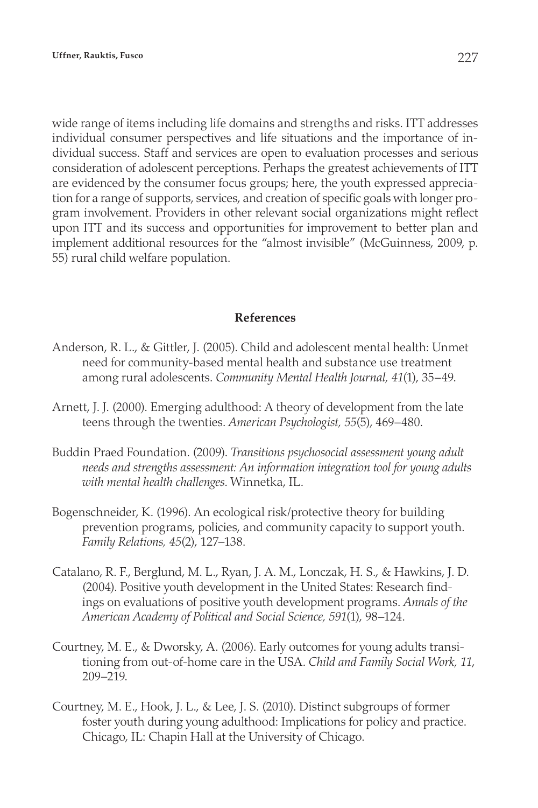wide range of items including life domains and strengths and risks. ITT addresses individual consumer perspectives and life situations and the importance of individual success. Staff and services are open to evaluation processes and serious consideration of adolescent perceptions. Perhaps the greatest achievements of ITT are evidenced by the consumer focus groups; here, the youth expressed appreciation for a range of supports, services, and creation of specific goals with longer program involvement. Providers in other relevant social organizations might reflect upon ITT and its success and opportunities for improvement to better plan and implement additional resources for the "almost invisible" (McGuinness, 2009, p. 55) rural child welfare population.

## **References**

- Anderson, R. L., & Gittler, J. (2005). Child and adolescent mental health: Unmet need for community-based mental health and substance use treatment among rural adolescents. *Community Mental Health Journal, 41*(1), 35–49.
- Arnett, J. J. (2000). Emerging adulthood: A theory of development from the late teens through the twenties. *American Psychologist, 55*(5), 469–480.
- Buddin Praed Foundation. (2009). *Transitions psychosocial assessment young adult needs and strengths assessment: An information integration tool for young adults with mental health challenges*. Winnetka, IL.
- Bogenschneider, K. (1996). An ecological risk/protective theory for building prevention programs, policies, and community capacity to support youth. *Family Relations, 45*(2), 127–138.
- Catalano, R. F., Berglund, M. L., Ryan, J. A. M., Lonczak, H. S., & Hawkins, J. D. (2004). Positive youth development in the United States: Research findings on evaluations of positive youth development programs. *Annals of the American Academy of Political and Social Science, 591*(1), 98–124.
- Courtney, M. E., & Dworsky, A. (2006). Early outcomes for young adults transitioning from out-of-home care in the USA. *Child and Family Social Work, 11*, 209–219.
- Courtney, M. E., Hook, J. L., & Lee, J. S. (2010). Distinct subgroups of former foster youth during young adulthood: Implications for policy and practice. Chicago, IL: Chapin Hall at the University of Chicago.